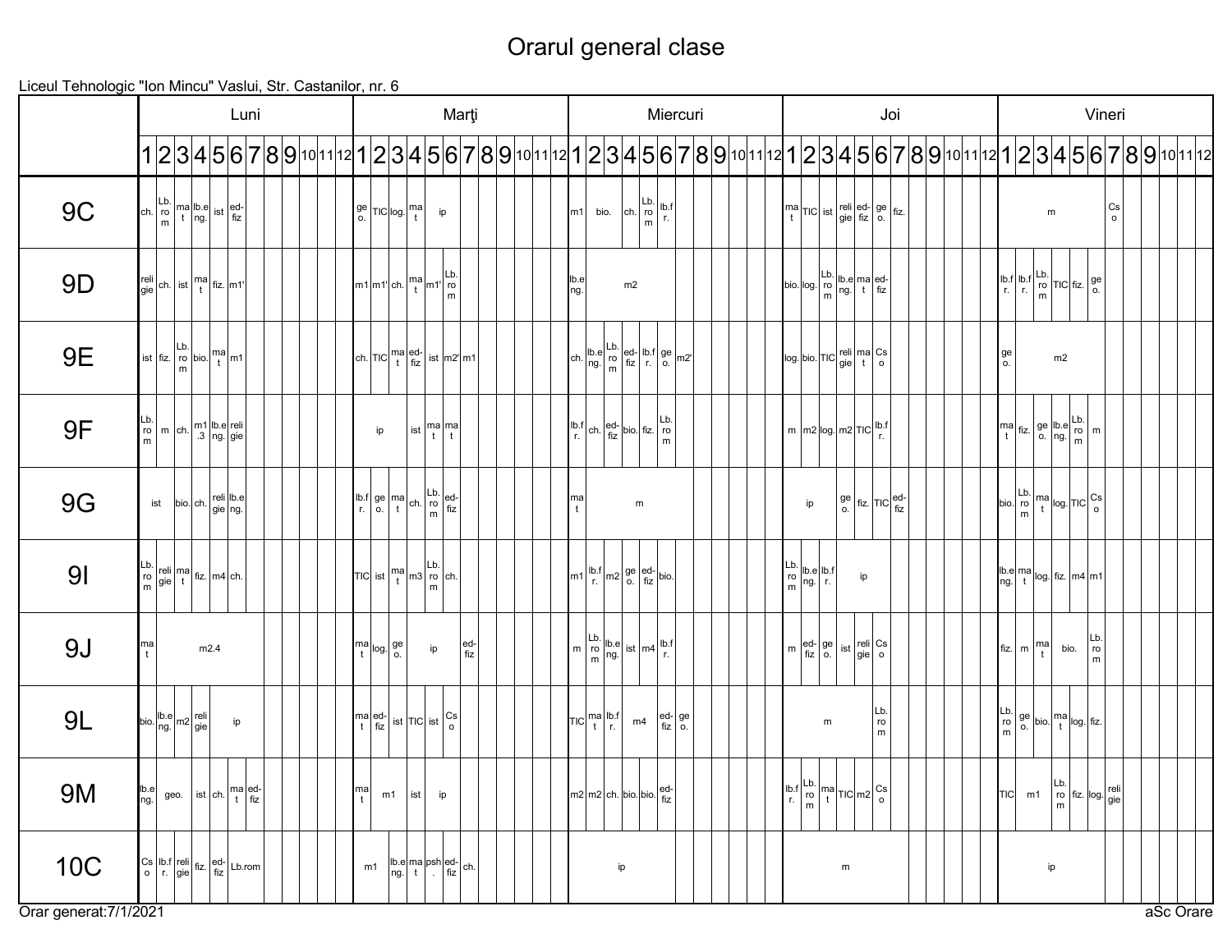## Orarul general clase

Liceul Tehnologic "Ion Mincu" Vaslui, Str. Castanilor, nr. 6

|                        | Luni                                                                                                                                                                                                                                                                                       | Marți                                                                                                                                                                                                                                                                                                                                                                                                                                               | Miercuri                                                                                                                                                                                                                                                                                                                                                                                                                                                                      | Joi                                                                                                                                                                                                                                                                                 | Vineri                                                                                                                                                                                                                                                                                                                                                                                                                                                                                                                                                          |
|------------------------|--------------------------------------------------------------------------------------------------------------------------------------------------------------------------------------------------------------------------------------------------------------------------------------------|-----------------------------------------------------------------------------------------------------------------------------------------------------------------------------------------------------------------------------------------------------------------------------------------------------------------------------------------------------------------------------------------------------------------------------------------------------|-------------------------------------------------------------------------------------------------------------------------------------------------------------------------------------------------------------------------------------------------------------------------------------------------------------------------------------------------------------------------------------------------------------------------------------------------------------------------------|-------------------------------------------------------------------------------------------------------------------------------------------------------------------------------------------------------------------------------------------------------------------------------------|-----------------------------------------------------------------------------------------------------------------------------------------------------------------------------------------------------------------------------------------------------------------------------------------------------------------------------------------------------------------------------------------------------------------------------------------------------------------------------------------------------------------------------------------------------------------|
|                        |                                                                                                                                                                                                                                                                                            |                                                                                                                                                                                                                                                                                                                                                                                                                                                     |                                                                                                                                                                                                                                                                                                                                                                                                                                                                               |                                                                                                                                                                                                                                                                                     | 1 2 3 4 5 6 7 8 9 10 11 12 1 2 3 4 5 6 7 8 9 10 11 12 1 2 3 4 5 6 7 8 9 10 11 12 1 2 3 4 5 6 7 8 9 10 11 12 1 2 3 4 5 6 7 8 9 10 11 12                                                                                                                                                                                                                                                                                                                                                                                                                          |
| <b>9C</b>              | $\begin{array}{c c c c} \n\multicolumn{3}{ c }{Lb} & \text{ma} & \text{lb.e} & \text{ist} & \text{ed-} \\ \n\multicolumn{3}{ c }{ch} & \text{ro} & \text{t} & \text{ng.} & \text{ist} & \text{fiz} \n\end{array}$                                                                          | $\int_{0}^{1}$ TIC $\log \frac{m}{t}$<br>$\mathsf{ip}% _{T}\left( t\right) \equiv\mathsf{ip}(\mathsf{p})$                                                                                                                                                                                                                                                                                                                                           | $\begin{array}{ c c }\n\hline\n\text{ch.} & \text{ro} \\ \hline\n\text{m} & \text{m}\n\end{array}$<br>lb.f<br>  r.<br>bio.<br>m <sub>1</sub>                                                                                                                                                                                                                                                                                                                                  | $\begin{bmatrix} \text{ma} \\ \text{t} \end{bmatrix}$ TIC ist $\begin{bmatrix} \text{reli} \\ \text{gie} \end{bmatrix} \begin{bmatrix} \text{ed-} \\ \text{fiz} \end{bmatrix}$ o. $\begin{bmatrix} \text{fiz} \end{bmatrix}$                                                        | $_{\rm o}^{\rm Cs}$<br>${\sf m}$                                                                                                                                                                                                                                                                                                                                                                                                                                                                                                                                |
| 9 <sub>D</sub>         | $\begin{bmatrix} \text{reli} \\ \text{gie} \end{bmatrix}$ ch. $\begin{bmatrix} \text{ist} \\ \text{t} \end{bmatrix} \begin{bmatrix} \text{m}\text{a} \\ \text{fiz.} \end{bmatrix}$ m1'                                                                                                     | $\left[m1\left m1'\right ch.\left m2\right m1'\left ^{Lb.}\right $<br>m                                                                                                                                                                                                                                                                                                                                                                             | lb.e<br>ng.<br>m2                                                                                                                                                                                                                                                                                                                                                                                                                                                             | bio. $\log \left  \frac{\text{Lb.}}{\text{ro}} \right  \left  \frac{\text{lb.}}{\text{ng}} \right  \left  \frac{\text{ed.}}{\text{fiz}} \right $                                                                                                                                    | $\begin{array}{c c c c} \text{lb.f} & \text{lb.f} & \text{lb.} \\ \text{r.} & \text{r.} & \text{m} \\ \end{array} \text{TIC} \text{ fiz.} \begin{array}{c} \text{ge} \\ \text{0.} \\ \text{o.} \end{array}$                                                                                                                                                                                                                                                                                                                                                     |
| <b>9E</b>              | Lb.<br>$\begin{bmatrix} 1 \\ 1 \end{bmatrix}$ m1<br>ist $fiz.$ ro $bio.$                                                                                                                                                                                                                   | ch. $\left  TIC \right _t^{\text{ma}} \left  \frac{\text{ed}}{\text{fiz}} \right  \text{ ist} \left  m2 \right  \left  m1 \right $                                                                                                                                                                                                                                                                                                                  | $\left[\n \operatorname{ch.}\nolimits\begin{vmatrix}\n \operatorname{lb.}\nolimits e \\  \operatorname{hg.}\nolimits\n \end{vmatrix}\n \begin{vmatrix}\n \operatorname{Lb.}\nolimits \\  \operatorname{ro}\nolimits \\  \operatorname{hiz}\nolimits\n \end{vmatrix}\n \begin{vmatrix}\n \operatorname{lb.}\nolimits f \\  \operatorname{g.}\nolimits\n \end{vmatrix}\n \begin{vmatrix}\n \operatorname{ge}\nolimits \\  \operatorname{m2}\nolimits\n \end{vmatrix}\n \right]$ | $\log$ bio. TIC $\left \frac{\text{reli}}{\text{gie}}\right $ $\frac{\text{meil}}{\text{t}}$ o                                                                                                                                                                                      | ge<br>m2<br><b>o.</b>                                                                                                                                                                                                                                                                                                                                                                                                                                                                                                                                           |
| 9F                     | $\begin{bmatrix} \mathsf{Lb} \\ \mathsf{ro} \\ \mathsf{m} \end{bmatrix}$ m $\begin{bmatrix} \mathsf{ch} \\ \mathsf{ch} \end{bmatrix}$<br>$\begin{array}{ c c } \hline \end{array}$ m1 $\begin{array}{ c }$ lb.e $\end{array}$ reli                                                         | $\begin{vmatrix} \text{list} \\ \text{t} \end{vmatrix}$ $\begin{vmatrix} \text{ma} \\ \text{t} \end{vmatrix}$<br>ip                                                                                                                                                                                                                                                                                                                                 | $\begin{array}{ l l }\n\hline\n\text{lb.f} & \text{ch.} & \text{ed.} & \text{bio.} & \text{fiz.} \\ \text{r.} & \text{fiz} & \text{bio.} & \text{m.} \\ \hline\n\end{array}$                                                                                                                                                                                                                                                                                                  | $m \left\lfloor m2 \left  \log \left  m2 \right  \right  \right\rfloor$ ric $\left\lfloor \frac{\text{lb.f}}{\text{r}} \right\rfloor$                                                                                                                                               | $\begin{bmatrix} \text{ma} \\ \text{fiz} \end{bmatrix} \text{fiz} \begin{bmatrix} \text{ge} \\ \text{no} \end{bmatrix} \begin{bmatrix} \text{lb.} \\ \text{no} \end{bmatrix} \begin{bmatrix} \text{lb.} \\ \text{ro} \end{bmatrix} \begin{bmatrix} \text{m} \\ \text{m} \end{bmatrix}$                                                                                                                                                                                                                                                                          |
| <b>9G</b>              | bio. ch. reli lb.e<br>ist                                                                                                                                                                                                                                                                  | $\begin{array}{ l l }\n\hline\n\text{lb.f} & \text{ge} & \text{ma} \\ \text{rb.} & \text{to} & \text{to} & \text{ed} \\ \text{rb.} & \text{to} & \text{to} & \text{fiz} \\ \hline\n\end{array}$                                                                                                                                                                                                                                                     | $\begin{bmatrix} \mathsf{ma} \\ \mathsf{t} \end{bmatrix}$<br>m                                                                                                                                                                                                                                                                                                                                                                                                                | $\left  \begin{array}{c} ge \\ 0. \end{array} \right $ fiz. $\left  TIC \right $ fiz<br>ip                                                                                                                                                                                          | $\begin{array}{c} \begin{array}{c} \begin{array}{c} \end{array} \\ \begin{array}{c} \end{array} \\ \begin{array}{c} \end{array} \\ \begin{array}{c} \end{array} \\ \begin{array}{c} \end{array} \\ \begin{array}{c} \end{array} \\ \begin{array}{c} \end{array} \end{array} \end{array} \begin{bmatrix} \begin{array}{c} \begin{array}{c} \end{array} \\ \begin{array}{c} \end{array} \\ \begin{array}{c} \end{array} \\ \begin{array}{c} \end{array} \end{array} \end{array} \begin{bmatrix} \begin{array}{c} \begin{array}{c} \end{array} \\ \begin{array}{c$ |
| 9 <sub>l</sub>         | $\begin{bmatrix} \text{Lb} \\ \text{ro} \\ \text{m} \end{bmatrix} \begin{bmatrix} \text{reli} \\ \text{gie} \end{bmatrix} \begin{bmatrix} \text{ma} \\ \text{fiz} \end{bmatrix} \begin{bmatrix} \text{ma} \\ \text{ma} \end{bmatrix} \begin{bmatrix} \text{ch} \\ \text{ch} \end{bmatrix}$ | $\begin{array}{ c c c c c c } \hline \text{Ric} & \text{ma} & \text{Lb.} \\ \hline \text{Ric} & \text{t} & \text{m3} & \text{m} \\ \hline \text{m} & \text{m} & \text{m} \end{array}$                                                                                                                                                                                                                                                               | $\left[\text{m1}\left \text{lb.f}\right \text{m2}\right]\text{ge}\left \text{ed-}\right \text{bio.}\right]$                                                                                                                                                                                                                                                                                                                                                                   | $\begin{array}{c c} \text{Lb.} & \text{lb.e} & \text{lb.f} \\ \text{ro} & \text{ng.} & \text{r.} \end{array}$<br>ip                                                                                                                                                                 | $\begin{bmatrix} \n\text{lb.e} \\ \n\text{ng.} \n\end{bmatrix}$ tog. $\begin{bmatrix} \n\text{fiz.} \\ \n\text{m3} \n\end{bmatrix}$ m1                                                                                                                                                                                                                                                                                                                                                                                                                          |
| 9J                     | $\begin{bmatrix} 1 \\ 1 \end{bmatrix}$<br>m2.4                                                                                                                                                                                                                                             | $\begin{bmatrix} \mathsf{ma} \\ \mathsf{t} \end{bmatrix}$ log. $\begin{bmatrix} \mathsf{ge} \\ \mathsf{o} \end{bmatrix}$<br>ed-<br>fiz<br>ip                                                                                                                                                                                                                                                                                                        | $m \begin{bmatrix} Lb \\ r0 \\ m \end{bmatrix}$ $\begin{bmatrix} Lb \\ ng \end{bmatrix}$ ist $\begin{bmatrix} m4 \\ m4 \end{bmatrix}$ $\begin{bmatrix} h.f \\ r \end{bmatrix}$                                                                                                                                                                                                                                                                                                | $m \left  \frac{\text{ed}}{\text{fiz}} \right  \left. \frac{\text{ge}}{\text{o}} \right $ ist $\left  \frac{\text{reli}}{\text{gie}} \right $ Cs                                                                                                                                    | Lb.<br>$\binom{ma}{t}$<br>bio.<br>$fiz.$ m<br>$\mathop{\rm ro}\nolimits$<br>m                                                                                                                                                                                                                                                                                                                                                                                                                                                                                   |
| 9L                     | bio.  b.e   m2   reli<br>ip                                                                                                                                                                                                                                                                | $\begin{array}{ c c c c c }\n & \text{if} & \text{if} & \text{if} & \text{if} & \text{if} & \text{if} & \text{if} & \text{if} & \text{if} & \text{if} & \text{if} & \text{if} & \text{if} & \text{if} & \text{if} & \text{if} & \text{if} & \text{if} & \text{if} & \text{if} & \text{if} & \text{if} & \text{if} & \text{if} & \text{if} & \text{if} & \text{if} & \text{if} & \text{if} & \text{if} & \text{if} & \text{if} & \text{if} & \text{$ | $\begin{vmatrix} ed \\ fiz \end{vmatrix}$ ge fiz<br>$TIC\begin{vmatrix} ma & b.f \\ t & r. \end{vmatrix}$<br>m4                                                                                                                                                                                                                                                                                                                                                               | Lb.<br>${\sf ro}$<br>m<br>m                                                                                                                                                                                                                                                         | $\begin{bmatrix} Lb. \\ ro \\ m \end{bmatrix}$ ge $\begin{bmatrix} ba \\ bo. \end{bmatrix}$ $\begin{bmatrix} ma \\ t \end{bmatrix}$ log. $\begin{bmatrix} fiz. \end{bmatrix}$                                                                                                                                                                                                                                                                                                                                                                                   |
| <b>9M</b>              | b.e <br>geo. $\left  \text{ist} \right  \text{ch.} \left  \text{ma} \right  \text{ed-}$<br>ng.                                                                                                                                                                                             | ma <br>m1<br>$\vert$ ist $\vert$<br>ip                                                                                                                                                                                                                                                                                                                                                                                                              | ed-<br>$mZ$ m2 ch. $\vert$ bio. $\vert$ bio. $\vert$ fiz                                                                                                                                                                                                                                                                                                                                                                                                                      | $\begin{array}{c} \n\left  \text{lb.f} \right  \begin{array}{c} \n\text{lb.} \\ \n\text{ro} \n\end{array} \n\left  \begin{array}{c} \text{ma} \\ \text{t} \n\end{array} \n\right  \n\text{TIC} \n\left  \begin{array}{c} \text{m2} \\ \text{o} \n\end{array} \right  \n\end{array}$ | $\left  \begin{array}{c} \mathsf{Lb} \\ \mathsf{ro} \end{array} \right $ fiz. $\left  \begin{array}{c} \mathsf{log} \\ \mathsf{gie} \end{array} \right $<br>m1<br>[IIC]<br>$\lfloor m \rfloor$                                                                                                                                                                                                                                                                                                                                                                  |
| 10C                    | $\begin{bmatrix} \n\text{Cs} & \n\text{lb.f} & \n\text{reli} & \n\text{fiz} & \n\text{fiz} & \n\text{fiz} & \n\end{bmatrix}$                                                                                                                                                               | $\begin{vmatrix} \n\text{lb.e} & \text{ma} & \text{psh} & \text{ed-} \\ \text{ng.} & \text{t} & \text{fiz} & \n\end{vmatrix}$ ch.<br>m1                                                                                                                                                                                                                                                                                                             | ip                                                                                                                                                                                                                                                                                                                                                                                                                                                                            | m                                                                                                                                                                                                                                                                                   | ip                                                                                                                                                                                                                                                                                                                                                                                                                                                                                                                                                              |
| Orar generat: 7/1/2021 |                                                                                                                                                                                                                                                                                            |                                                                                                                                                                                                                                                                                                                                                                                                                                                     |                                                                                                                                                                                                                                                                                                                                                                                                                                                                               |                                                                                                                                                                                                                                                                                     | aSc Orare                                                                                                                                                                                                                                                                                                                                                                                                                                                                                                                                                       |